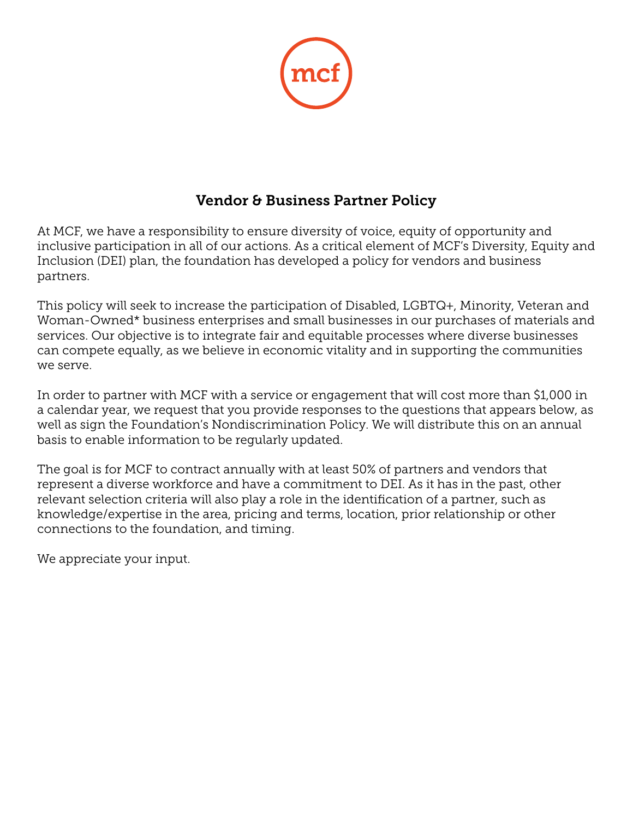

# Vendor & Business Partner Policy

At MCF, we have a responsibility to ensure diversity of voice, equity of opportunity and inclusive participation in all of our actions. As a critical element of MCF's Diversity, Equity and Inclusion (DEI) plan, the foundation has developed a policy for vendors and business partners.

This policy will seek to increase the participation of Disabled, LGBTQ+, Minority, Veteran and Woman-Owned\* business enterprises and small businesses in our purchases of materials and services. Our objective is to integrate fair and equitable processes where diverse businesses can compete equally, as we believe in economic vitality and in supporting the communities we serve.

In order to partner with MCF with a service or engagement that will cost more than \$1,000 in a calendar year, we request that you provide responses to the questions that appears below, as well as sign the Foundation's Nondiscrimination Policy. We will distribute this on an annual basis to enable information to be regularly updated.

The goal is for MCF to contract annually with at least 50% of partners and vendors that represent a diverse workforce and have a commitment to DEI. As it has in the past, other relevant selection criteria will also play a role in the identification of a partner, such as knowledge/expertise in the area, pricing and terms, location, prior relationship or other connections to the foundation, and timing.

We appreciate your input.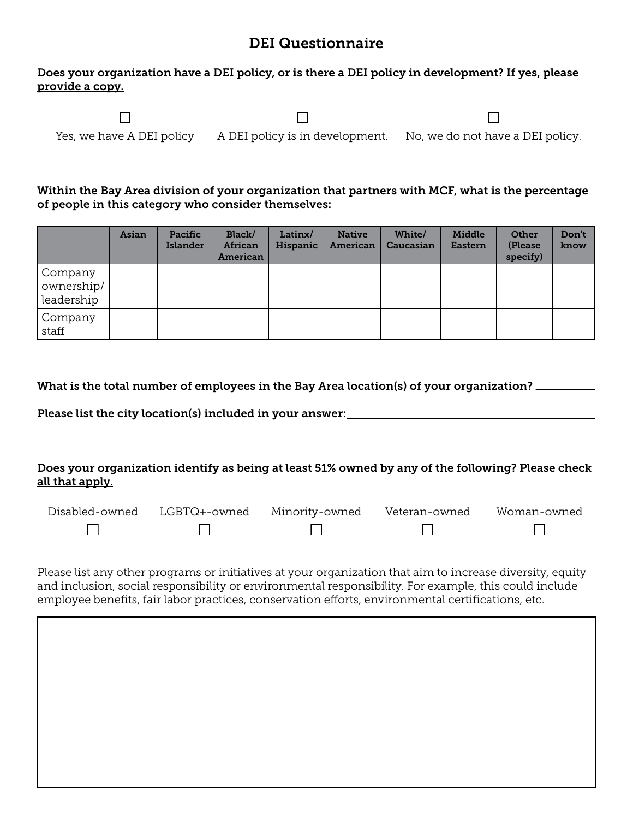### DEI Questionnaire

#### Does your organization have a DEI policy, or is there a DEI policy in development? If yes, please provide a copy.

 $\Box$  $\Box$  $\Box$ Yes, we have A DEI policy A DEI policy is in development. No, we do not have a DEI policy.

Within the Bay Area division of your organization that partners with MCF, what is the percentage of people in this category who consider themselves:

|                                     | Asian | Pacific<br><b>Islander</b> | Black/<br>African<br>American | Latinx/<br>Hispanic | <b>Native</b><br>American | White/<br>Caucasian | Middle<br>Eastern | Other<br>(Please)<br>specify) | Don't<br>know |
|-------------------------------------|-------|----------------------------|-------------------------------|---------------------|---------------------------|---------------------|-------------------|-------------------------------|---------------|
| Company<br>ownership/<br>leadership |       |                            |                               |                     |                           |                     |                   |                               |               |
| Company<br>staff                    |       |                            |                               |                     |                           |                     |                   |                               |               |

| What is the total number of employees in the Bay Area location(s) of your organization? $\perp$ |  |  |
|-------------------------------------------------------------------------------------------------|--|--|
|                                                                                                 |  |  |

Please list the city location(s) included in your answer:

### Does your organization identify as being at least 51% owned by any of the following? Please check all that apply.

| Disabled-owned | LGBTQ+-owned Minority-owned Veteran-owned | Woman-owned |
|----------------|-------------------------------------------|-------------|
|                |                                           |             |

Please list any other programs or initiatives at your organization that aim to increase diversity, equity and inclusion, social responsibility or environmental responsibility. For example, this could include employee benefits, fair labor practices, conservation efforts, environmental certifications, etc.